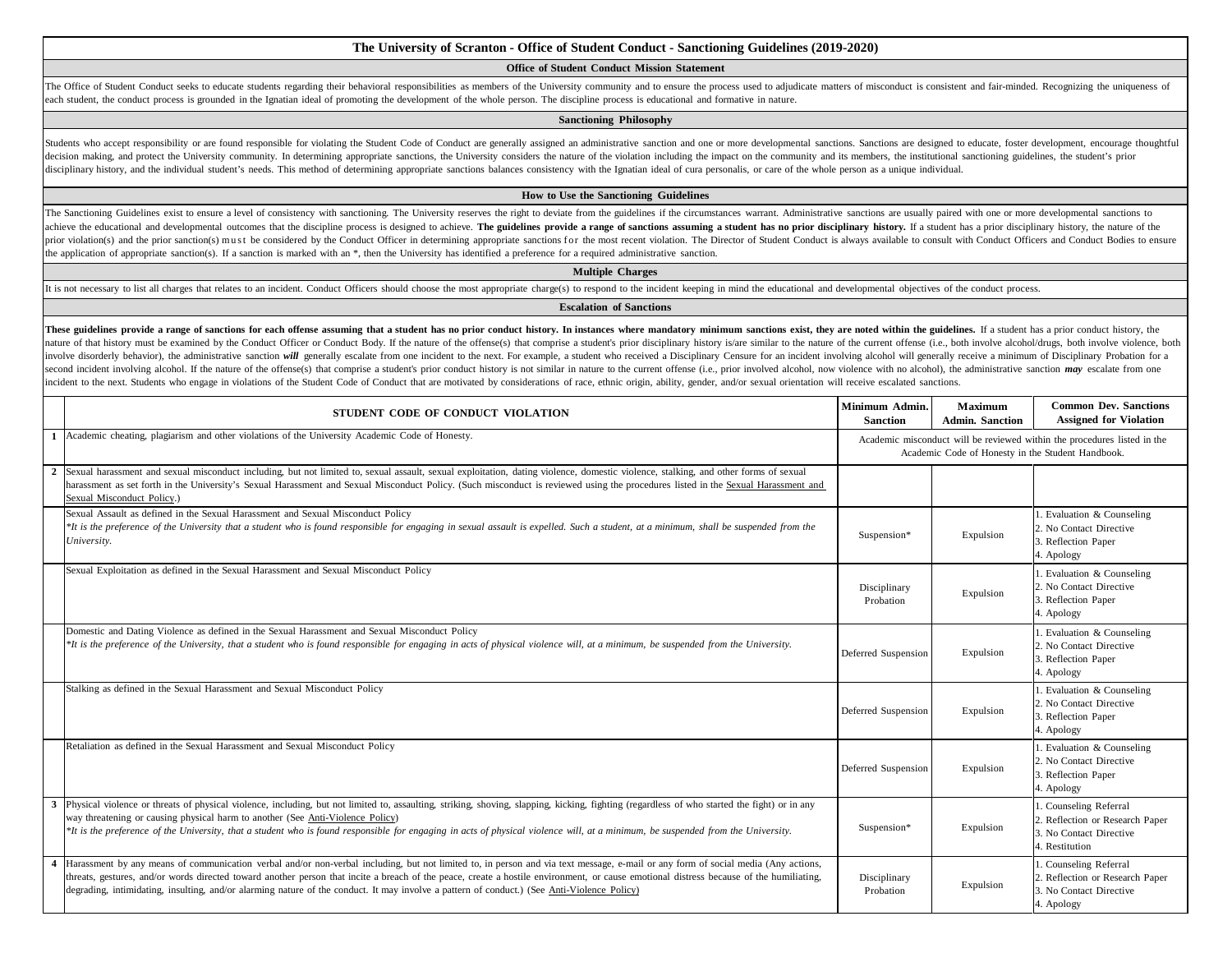# **The University of Scranton - Office of Student Conduct - Sanctioning Guidelines (2019-2020)**

# **Office of Student Conduct Mission Statement**

The Office of Student Conduct seeks to educate students regarding their behavioral responsibilities as members of the University community and to ensure the process used to adjudicate matters of misconduct is consistent an each student, the conduct process is grounded in the Ignatian ideal of promoting the development of the whole person. The discipline process is educational and formative in nature.

#### **Sanctioning Philosophy**

Students who accept responsibility or are found responsible for violating the Student Code of Conduct are generally assigned an administrative sanction and one or more developmental sanctions. Sanctions are designed to edu decision making, and protect the University community. In determining appropriate sanctions, the University considers the nature of the violation including the impact on the community and its members, the institutional san disciplinary history, and the individual student's needs. This method of determining appropriate sanctions balances consistency with the Ignatian ideal of cura personalis, or care of the whole person as a unique individual

### **How to Use the Sanctioning Guidelines**

The Sanctioning Guidelines exist to ensure a level of consistency with sanctioning. The University reserves the right to deviate from the guidelines if the circumstances warrant. Administrative sanctions are usually paired achieve the educational and developmental outcomes that the discipline process is designed to achieve. The guidelines provide a range of sanctions assuming a student has no prior disciplinary history. If a student has a pr prior violation(s) and the prior sanction(s) must be considered by the Conduct Officer in determining appropriate sanctions for the most recent violation. The Director of Student Conduct is always available to consult with the application of appropriate sanction(s). If a sanction is marked with an \*, then the University has identified a preference for a required administrative sanction.

#### **Multiple Charges**

It is not necessary to list all charges that relates to an incident. Conduct Officers should choose the most appropriate charge(s) to respond to the incident keeping in mind the educational and developmental objectives of

### **Escalation of Sanctions**

These guidelines provide a range of sanctions for each offense assuming that a student has no prior conduct history. In instances where mandatory minimum sanctions exist, they are noted within the guidelines. If a student nature of that history must be examined by the Conduct Officer or Conduct Body. If the nature of the offense(s) that comprise a student's prior disciplinary history is/are similar to the nature of the current offense (i.e. involve disorderly behavior), the administrative sanction will generally escalate from one incident to the next. For example, a student who received a Disciplinary Censure for an incident involving alcohol will generally r second incident involving alcohol. If the nature of the offense(s) that comprise a student's prior conduct history is not similar in nature to the current offense (i.e., prior involved alcohol, now violence with no alcohol incident to the next. Students who engage in violations of the Student Code of Conduct that are motivated by considerations of race, ethnic origin, ability, gender, and/or sexual orientation will receive escalated sanction

| STUDENT CODE OF CONDUCT VIOLATION                                                                                                                                                                                                                                                                                                                                                                                                                                                                                             | Minimum Admin.<br><b>Sanction</b>                                                                                             | <b>Maximum</b><br><b>Admin. Sanction</b> | <b>Common Dev. Sanctions</b><br><b>Assigned for Violation</b>                                          |
|-------------------------------------------------------------------------------------------------------------------------------------------------------------------------------------------------------------------------------------------------------------------------------------------------------------------------------------------------------------------------------------------------------------------------------------------------------------------------------------------------------------------------------|-------------------------------------------------------------------------------------------------------------------------------|------------------------------------------|--------------------------------------------------------------------------------------------------------|
| 1 Academic cheating, plagiarism and other violations of the University Academic Code of Honesty.                                                                                                                                                                                                                                                                                                                                                                                                                              | Academic misconduct will be reviewed within the procedures listed in the<br>Academic Code of Honesty in the Student Handbook. |                                          |                                                                                                        |
| 2 Sexual harassment and sexual misconduct including, but not limited to, sexual assault, sexual exploitation, dating violence, domestic violence, stalking, and other forms of sexual<br>harassment as set forth in the University's Sexual Harassment and Sexual Misconduct Policy. (Such misconduct is reviewed using the procedures listed in the Sexual Harassment and<br>Sexual Misconduct Policy.)                                                                                                                      |                                                                                                                               |                                          |                                                                                                        |
| Sexual Assault as defined in the Sexual Harassment and Sexual Misconduct Policy<br>*It is the preference of the University that a student who is found responsible for engaging in sexual assault is expelled. Such a student, at a minimum, shall be suspended from the<br>University.                                                                                                                                                                                                                                       | Suspension*                                                                                                                   | Expulsion                                | 1. Evaluation & Counseling<br>2. No Contact Directive<br>3. Reflection Paper<br>4. Apology             |
| Sexual Exploitation as defined in the Sexual Harassment and Sexual Misconduct Policy                                                                                                                                                                                                                                                                                                                                                                                                                                          | Disciplinary<br>Probation                                                                                                     | Expulsion                                | 1. Evaluation & Counseling<br>2. No Contact Directive<br>3. Reflection Paper<br>4. Apology             |
| Domestic and Dating Violence as defined in the Sexual Harassment and Sexual Misconduct Policy<br>*It is the preference of the University, that a student who is found responsible for engaging in acts of physical violence will, at a minimum, be suspended from the University.                                                                                                                                                                                                                                             | Deferred Suspension                                                                                                           | Expulsion                                | 1. Evaluation & Counseling<br>2. No Contact Directive<br>3. Reflection Paper<br>4. Apology             |
| Stalking as defined in the Sexual Harassment and Sexual Misconduct Policy                                                                                                                                                                                                                                                                                                                                                                                                                                                     | Deferred Suspension                                                                                                           | Expulsion                                | 1. Evaluation & Counseling<br>2. No Contact Directive<br>3. Reflection Paper<br>4. Apology             |
| Retaliation as defined in the Sexual Harassment and Sexual Misconduct Policy                                                                                                                                                                                                                                                                                                                                                                                                                                                  | Deferred Suspension                                                                                                           | Expulsion                                | 1. Evaluation & Counseling<br>2. No Contact Directive<br>3. Reflection Paper<br>4. Apology             |
| Physical violence or threats of physical violence, including, but not limited to, assaulting, striking, shoving, slapping, kicking, fighting (regardless of who started the fight) or in any<br>way threatening or causing physical harm to another (See Anti-Violence Policy)<br>*It is the preference of the University, that a student who is found responsible for engaging in acts of physical violence will, at a minimum, be suspended from the University.                                                            | Suspension*                                                                                                                   | Expulsion                                | 1. Counseling Referral<br>2. Reflection or Research Paper<br>3. No Contact Directive<br>4. Restitution |
| 4 Harassment by any means of communication verbal and/or non-verbal including, but not limited to, in person and via text message, e-mail or any form of social media (Any actions,<br>threats, gestures, and/or words directed toward another person that incite a breach of the peace, create a hostile environment, or cause emotional distress because of the humiliating,<br>degrading, intimidating, insulting, and/or alarming nature of the conduct. It may involve a pattern of conduct.) (See Anti-Violence Policy) | Disciplinary<br>Probation                                                                                                     | Expulsion                                | 1. Counseling Referral<br>2. Reflection or Research Paper<br>3. No Contact Directive<br>4. Apology     |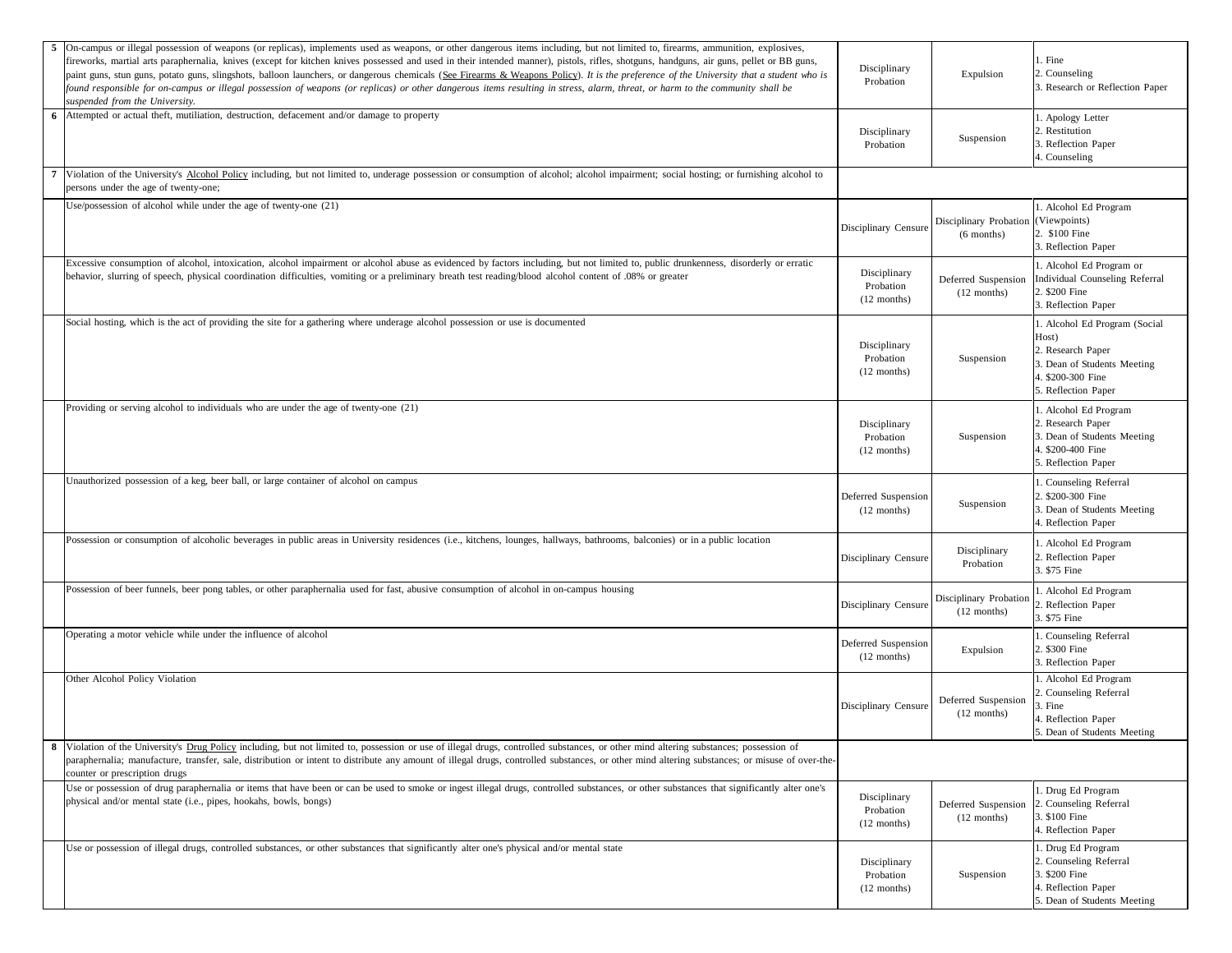|   | On-campus or illegal possession of weapons (or replicas), implements used as weapons, or other dangerous items including, but not limited to, firearms, ammunition, explosives,<br>fireworks, martial arts paraphernalia, knives (except for kitchen knives possessed and used in their intended manner), pistols, rifles, shotguns, handguns, air guns, pellet or BB guns,<br>paint guns, stun guns, potato guns, slingshots, balloon launchers, or dangerous chemicals (See Firearms & Weapons Policy). It is the preference of the University that a student who is<br>found responsible for on-campus or illegal possession of weapons (or replicas) or other dangerous items resulting in stress, alarm, threat, or harm to the community shall be<br>suspended from the University. | Disciplinary<br>Probation                  | Expulsion                               | . Fine<br>2. Counseling<br>3. Research or Reflection Paper                                                                             |
|---|-------------------------------------------------------------------------------------------------------------------------------------------------------------------------------------------------------------------------------------------------------------------------------------------------------------------------------------------------------------------------------------------------------------------------------------------------------------------------------------------------------------------------------------------------------------------------------------------------------------------------------------------------------------------------------------------------------------------------------------------------------------------------------------------|--------------------------------------------|-----------------------------------------|----------------------------------------------------------------------------------------------------------------------------------------|
| 6 | Attempted or actual theft, mutiliation, destruction, defacement and/or damage to property                                                                                                                                                                                                                                                                                                                                                                                                                                                                                                                                                                                                                                                                                                 | Disciplinary<br>Probation                  | Suspension                              | . Apology Letter<br>. Restitution<br>. Reflection Paper<br>4. Counseling                                                               |
|   | Violation of the University's Alcohol Policy including, but not limited to, underage possession or consumption of alcohol; alcohol impairment; social hosting; or furnishing alcohol to<br>persons under the age of twenty-one;                                                                                                                                                                                                                                                                                                                                                                                                                                                                                                                                                           |                                            |                                         |                                                                                                                                        |
|   | Jse/possession of alcohol while under the age of twenty-one (21)                                                                                                                                                                                                                                                                                                                                                                                                                                                                                                                                                                                                                                                                                                                          | Disciplinary Censure                       | Disciplinary Probation<br>$(6$ months)  | 1. Alcohol Ed Program<br>(Viewpoints)<br>2. \$100 Fine<br>3. Reflection Paper                                                          |
|   | Excessive consumption of alcohol, intoxication, alcohol impairment or alcohol abuse as evidenced by factors including, but not limited to, public drunkenness, disorderly or erratic<br>behavior, slurring of speech, physical coordination difficulties, vomiting or a preliminary breath test reading/blood alcohol content of .08% or greater                                                                                                                                                                                                                                                                                                                                                                                                                                          | Disciplinary<br>Probation<br>$(12$ months) | Deferred Suspension<br>$(12$ months)    | 1. Alcohol Ed Program or<br>Individual Counseling Referral<br>2. \$200 Fine<br>3. Reflection Paper                                     |
|   | Social hosting, which is the act of providing the site for a gathering where underage alcohol possession or use is documented                                                                                                                                                                                                                                                                                                                                                                                                                                                                                                                                                                                                                                                             | Disciplinary<br>Probation<br>$(12$ months) | Suspension                              | 1. Alcohol Ed Program (Social<br>Host)<br>2. Research Paper<br>3. Dean of Students Meeting<br>4. \$200-300 Fine<br>5. Reflection Paper |
|   | Providing or serving alcohol to individuals who are under the age of twenty-one (21)                                                                                                                                                                                                                                                                                                                                                                                                                                                                                                                                                                                                                                                                                                      | Disciplinary<br>Probation<br>$(12$ months) | Suspension                              | . Alcohol Ed Program<br>2. Research Paper<br>3. Dean of Students Meeting<br>4. \$200-400 Fine<br>5. Reflection Paper                   |
|   | Unauthorized possession of a keg, beer ball, or large container of alcohol on campus                                                                                                                                                                                                                                                                                                                                                                                                                                                                                                                                                                                                                                                                                                      | Deferred Suspension<br>$(12$ months)       | Suspension                              | . Counseling Referral<br>2. \$200-300 Fine<br>3. Dean of Students Meeting<br>4. Reflection Paper                                       |
|   | Possession or consumption of alcoholic beverages in public areas in University residences (i.e., kitchens, lounges, hallways, bathrooms, balconies) or in a public location                                                                                                                                                                                                                                                                                                                                                                                                                                                                                                                                                                                                               | Disciplinary Censure                       | Disciplinary<br>Probation               | . Alcohol Ed Program<br>2. Reflection Paper<br>3. \$75 Fine                                                                            |
|   | Possession of beer funnels, beer pong tables, or other paraphernalia used for fast, abusive consumption of alcohol in on-campus housing                                                                                                                                                                                                                                                                                                                                                                                                                                                                                                                                                                                                                                                   | Disciplinary Censure                       | Disciplinary Probation<br>$(12$ months) | . Alcohol Ed Program<br>2. Reflection Paper<br>3. \$75 Fine                                                                            |
|   | Operating a motor vehicle while under the influence of alcohol                                                                                                                                                                                                                                                                                                                                                                                                                                                                                                                                                                                                                                                                                                                            | Deferred Suspension<br>$(12$ months)       | Expulsion                               | . Counseling Referral<br>2. \$300 Fine<br>3. Reflection Paper                                                                          |
|   | Other Alcohol Policy Violation                                                                                                                                                                                                                                                                                                                                                                                                                                                                                                                                                                                                                                                                                                                                                            | Disciplinary Censure                       | Deferred Suspension<br>$(12$ months)    | . Alcohol Ed Program<br>2. Counseling Referral<br>3. Fine<br>4. Reflection Paper<br>5. Dean of Students Meeting                        |
|   | 8 Violation of the University's Drug Policy including, but not limited to, possession or use of illegal drugs, controlled substances, or other mind altering substances; possession of<br>paraphernalia; manufacture, transfer, sale, distribution or intent to distribute any amount of illegal drugs, controlled substances, or other mind altering substances; or misuse of over-the-<br>counter or prescription drugs                                                                                                                                                                                                                                                                                                                                                                 |                                            |                                         |                                                                                                                                        |
|   | Use or possession of drug paraphernalia or items that have been or can be used to smoke or ingest illegal drugs, controlled substances, or other substances that significantly alter one's<br>ohysical and/or mental state (i.e., pipes, hookahs, bowls, bongs)                                                                                                                                                                                                                                                                                                                                                                                                                                                                                                                           | Disciplinary<br>Probation<br>$(12$ months) | Deferred Suspension<br>$(12$ months)    | . Drug Ed Program<br>2. Counseling Referral<br>3. \$100 Fine<br>4. Reflection Paper                                                    |
|   | Use or possession of illegal drugs, controlled substances, or other substances that significantly alter one's physical and/or mental state                                                                                                                                                                                                                                                                                                                                                                                                                                                                                                                                                                                                                                                | Disciplinary<br>Probation<br>$(12$ months) | Suspension                              | . Drug Ed Program<br>2. Counseling Referral<br>3. \$200 Fine<br>4. Reflection Paper<br>5. Dean of Students Meeting                     |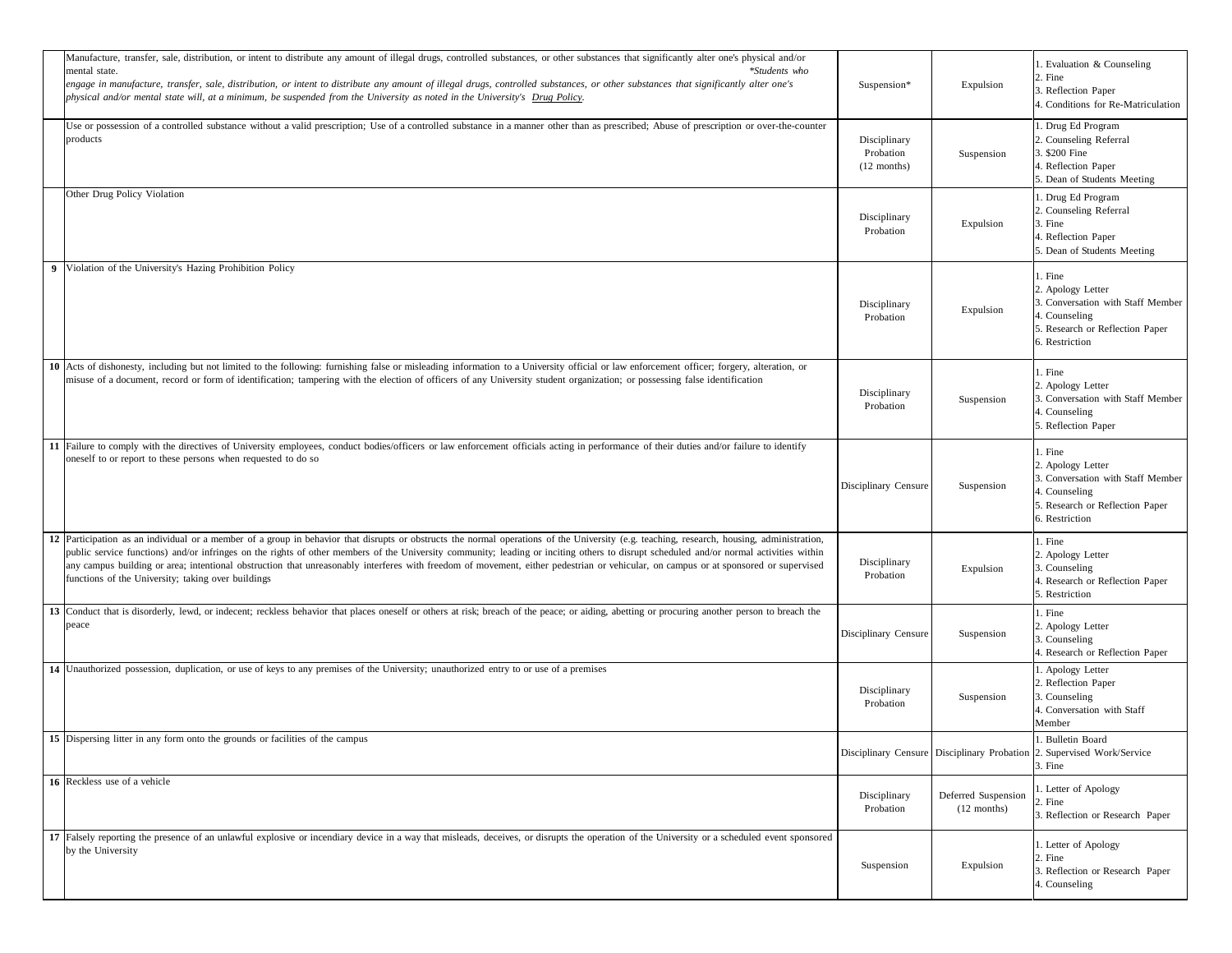| Manufacture, transfer, sale, distribution, or intent to distribute any amount of illegal drugs, controlled substances, or other substances that significantly alter one's physical and/or<br>*Students who<br>mental state.<br>engage in manufacture, transfer, sale, distribution, or intent to distribute any amount of illegal drugs, controlled substances, or other substances that significantly alter one's<br>physical and/or mental state will, at a minimum, be suspended from the University as noted in the University's Drug Policy.                                                                                 | Suspension*                                | Expulsion                            | . Evaluation & Counseling<br>2. Fine<br>3. Reflection Paper<br>4. Conditions for Re-Matriculation                                       |
|-----------------------------------------------------------------------------------------------------------------------------------------------------------------------------------------------------------------------------------------------------------------------------------------------------------------------------------------------------------------------------------------------------------------------------------------------------------------------------------------------------------------------------------------------------------------------------------------------------------------------------------|--------------------------------------------|--------------------------------------|-----------------------------------------------------------------------------------------------------------------------------------------|
| Use or possession of a controlled substance without a valid prescription; Use of a controlled substance in a manner other than as prescribed; Abuse of prescription or over-the-counter<br>products                                                                                                                                                                                                                                                                                                                                                                                                                               | Disciplinary<br>Probation<br>$(12$ months) | Suspension                           | . Drug Ed Program<br>2. Counseling Referral<br>3. \$200 Fine<br>4. Reflection Paper<br>5. Dean of Students Meeting                      |
| Other Drug Policy Violation                                                                                                                                                                                                                                                                                                                                                                                                                                                                                                                                                                                                       | Disciplinary<br>Probation                  | Expulsion                            | . Drug Ed Program<br>2. Counseling Referral<br>3. Fine<br>4. Reflection Paper<br>5. Dean of Students Meeting                            |
| 9 Violation of the University's Hazing Prohibition Policy                                                                                                                                                                                                                                                                                                                                                                                                                                                                                                                                                                         | Disciplinary<br>Probation                  | Expulsion                            | l. Fine<br>2. Apology Letter<br>3. Conversation with Staff Member<br>4. Counseling<br>5. Research or Reflection Paper<br>6. Restriction |
| 10 Acts of dishonesty, including but not limited to the following: furnishing false or misleading information to a University official or law enforcement officer; forgery, alteration, or<br>misuse of a document, record or form of identification; tampering with the election of officers of any University student organization; or possessing false identification                                                                                                                                                                                                                                                          | Disciplinary<br>Probation                  | Suspension                           | l. Fine<br>2. Apology Letter<br>3. Conversation with Staff Member<br>4. Counseling<br>5. Reflection Paper                               |
| 11 Failure to comply with the directives of University employees, conduct bodies/officers or law enforcement officials acting in performance of their duties and/or failure to identify<br>oneself to or report to these persons when requested to do so                                                                                                                                                                                                                                                                                                                                                                          | Disciplinary Censure                       | Suspension                           | . Fine<br>2. Apology Letter<br>3. Conversation with Staff Member<br>4. Counseling<br>5. Research or Reflection Paper<br>6. Restriction  |
| 12 Participation as an individual or a member of a group in behavior that disrupts or obstructs the normal operations of the University (e.g. teaching, research, housing, administration,<br>public service functions) and/or infringes on the rights of other members of the University community; leading or inciting others to disrupt scheduled and/or normal activities within<br>any campus building or area; intentional obstruction that unreasonably interferes with freedom of movement, either pedestrian or vehicular, on campus or at sponsored or supervised<br>functions of the University; taking over buildings | Disciplinary<br>Probation                  | Expulsion                            | l. Fine<br>2. Apology Letter<br>3. Counseling<br>4. Research or Reflection Paper<br>5. Restriction                                      |
| 13 Conduct that is disorderly, lewd, or indecent; reckless behavior that places oneself or others at risk; breach of the peace; or aiding, abetting or procuring another person to breach the<br>peace                                                                                                                                                                                                                                                                                                                                                                                                                            | Disciplinary Censure                       | Suspension                           | l. Fine<br>2. Apology Letter<br>3. Counseling<br>4. Research or Reflection Paper                                                        |
| 14 Unauthorized possession, duplication, or use of keys to any premises of the University; unauthorized entry to or use of a premises                                                                                                                                                                                                                                                                                                                                                                                                                                                                                             | Disciplinary<br>Probation                  | Suspension                           | 1. Apology Letter<br>2. Reflection Paper<br>3. Counseling<br>4. Conversation with Staff<br>Member                                       |
| 15 Dispersing litter in any form onto the grounds or facilities of the campus                                                                                                                                                                                                                                                                                                                                                                                                                                                                                                                                                     |                                            |                                      | . Bulletin Board<br>Disciplinary Censure Disciplinary Probation 2. Supervised Work/Service<br>3. Fine                                   |
| 16 Reckless use of a vehicle                                                                                                                                                                                                                                                                                                                                                                                                                                                                                                                                                                                                      | Disciplinary<br>Probation                  | Deferred Suspension<br>$(12$ months) | . Letter of Apology<br>2. Fine<br>3. Reflection or Research Paper                                                                       |
| 17 Falsely reporting the presence of an unlawful explosive or incendiary device in a way that misleads, deceives, or disrupts the operation of the University or a scheduled event sponsored<br>by the University                                                                                                                                                                                                                                                                                                                                                                                                                 | Suspension                                 | Expulsion                            | 1. Letter of Apology<br>2. Fine<br>3. Reflection or Research Paper<br>4. Counseling                                                     |